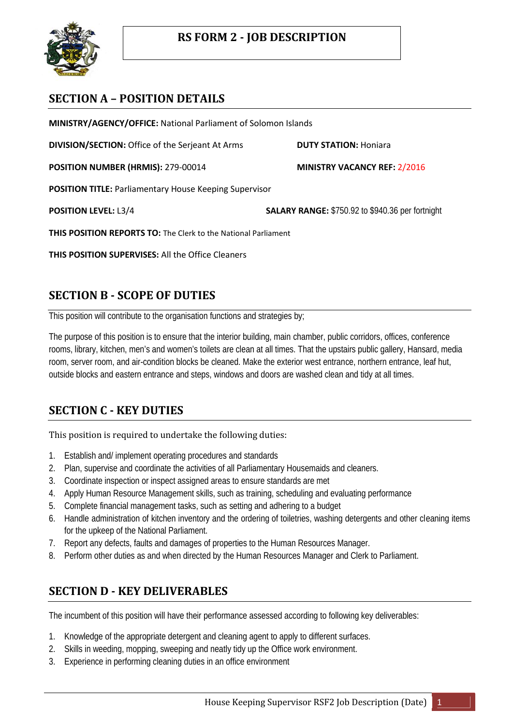

## **SECTION A – POSITION DETAILS**

**MINISTRY/AGENCY/OFFICE:** National Parliament of Solomon Islands

**DIVISION/SECTION:** Office of the Serjeant At Arms **DUTY STATION:** Honiara

**POSITION NUMBER (HRMIS):** 279-00014 **MINISTRY VACANCY REF:** 2/2016

**POSITION TITLE:** Parliamentary House Keeping Supervisor

**POSITION LEVEL:** L3/4 **SALARY RANGE:** \$750.92 to \$940.36 per fortnight

**THIS POSITION REPORTS TO:** The Clerk to the National Parliament

**THIS POSITION SUPERVISES:** All the Office Cleaners

## **SECTION B - SCOPE OF DUTIES**

This position will contribute to the organisation functions and strategies by;

The purpose of this position is to ensure that the interior building, main chamber, public corridors, offices, conference rooms, library, kitchen, men's and women's toilets are clean at all times. That the upstairs public gallery, Hansard, media room, server room, and air-condition blocks be cleaned. Make the exterior west entrance, northern entrance, leaf hut, outside blocks and eastern entrance and steps, windows and doors are washed clean and tidy at all times.

## **SECTION C - KEY DUTIES**

This position is required to undertake the following duties:

- 1. Establish and/ implement operating procedures and standards
- 2. Plan, supervise and coordinate the activities of all Parliamentary Housemaids and cleaners.
- 3. Coordinate inspection or inspect assigned areas to ensure standards are met
- 4. Apply Human Resource Management skills, such as training, scheduling and evaluating performance
- 5. Complete financial management tasks, such as setting and adhering to a budget
- 6. Handle administration of kitchen inventory and the ordering of toiletries, washing detergents and other cleaning items for the upkeep of the National Parliament.
- 7. Report any defects, faults and damages of properties to the Human Resources Manager.
- 8. Perform other duties as and when directed by the Human Resources Manager and Clerk to Parliament.

### **SECTION D - KEY DELIVERABLES**

The incumbent of this position will have their performance assessed according to following key deliverables:

- 1. Knowledge of the appropriate detergent and cleaning agent to apply to different surfaces.
- 2. Skills in weeding, mopping, sweeping and neatly tidy up the Office work environment.
- 3. Experience in performing cleaning duties in an office environment